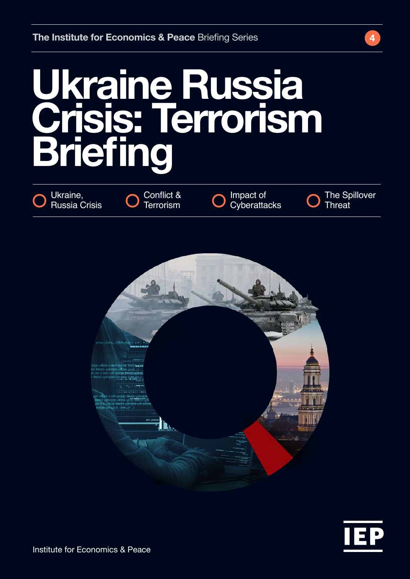# **Ukraine Russia Crisis: Terrorism Briefing**

Conflict &



Ukraine,



Impact of **Cyberattacks** 



The Spillover

**Threat**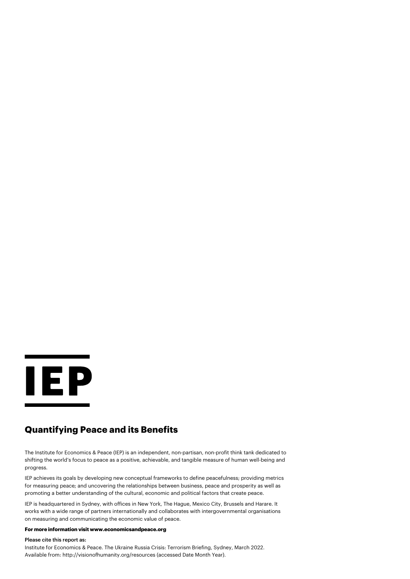

# **Quantifying Peace and its Benefits**

The Institute for Economics & Peace (IEP) is an independent, non-partisan, non-profit think tank dedicated to shifting the world's focus to peace as a positive, achievable, and tangible measure of human well-being and progress.

IEP achieves its goals by developing new conceptual frameworks to define peacefulness; providing metrics for measuring peace; and uncovering the relationships between business, peace and prosperity as well as promoting a better understanding of the cultural, economic and political factors that create peace.

IEP is headquartered in Sydney, with offices in New York, The Hague, Mexico City, Brussels and Harare. It works with a wide range of partners internationally and collaborates with intergovernmental organisations on measuring and communicating the economic value of peace.

#### **For more information visit www.economicsandpeace.org**

#### Please cite this report as:

Institute for Economics & Peace. The Ukraine Russia Crisis: Terrorism Briefing, Sydney, March 2022. Available from: http://visionofhumanity.org/resources (accessed Date Month Year).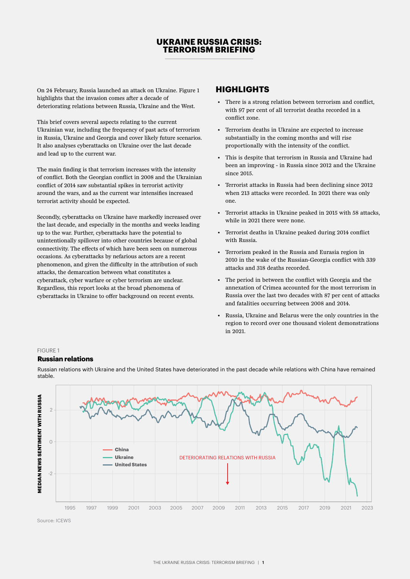# **UKRAINE RUSSIA CRISIS: TERRORISM BRIEFING**

On 24 February, Russia launched an attack on Ukraine. Figure 1 highlights that the invasion comes after a decade of deteriorating relations between Russia, Ukraine and the West.

This brief covers several aspects relating to the current Ukrainian war, including the frequency of past acts of terrorism in Russia, Ukraine and Georgia and cover likely future scenarios. It also analyses cyberattacks on Ukraine over the last decade and lead up to the current war.

The main finding is that terrorism increases with the intensity of conflict. Both the Georgian conflict in 2008 and the Ukrainian conflict of 2014 saw substantial spikes in terrorist activity around the wars, and as the current war intensifies increased terrorist activity should be expected.

Secondly, cyberattacks on Ukraine have markedly increased over the last decade, and especially in the months and weeks leading up to the war. Further, cyberattacks have the potential to unintentionally spillover into other countries because of global connectivity. The effects of which have been seen on numerous occasions. As cyberattacks by nefarious actors are a recent phenomenon, and given the difficulty in the attribution of such attacks, the demarcation between what constitutes a cyberattack, cyber warfare or cyber terrorism are unclear. Regardless, this report looks at the broad phenomena of cyberattacks in Ukraine to offer background on recent events.

# **HIGHLIGHTS**

- There is a strong relation between terrorism and conflict, with 97 per cent of all terrorist deaths recorded in a conflict zone.
- Terrorism deaths in Ukraine are expected to increase substantially in the coming months and will rise proportionally with the intensity of the conflict.
- This is despite that terrorism in Russia and Ukraine had been an improving - in Russia since 2012 and the Ukraine since 2015.
- Terrorist attacks in Russia had been declining since 2012 when 213 attacks were recorded. In 2021 there was only one.
- Terrorist attacks in Ukraine peaked in 2015 with 58 attacks, while in 2021 there were none.
- Terrorist deaths in Ukraine peaked during 2014 conflict with Russia.
- Terrorism peaked in the Russia and Eurasia region in 2010 in the wake of the Russian-Georgia conflict with 339 attacks and 318 deaths recorded.
- The period in between the conflict with Georgia and the annexation of Crimea accounted for the most terrorism in Russia over the last two decades with 87 per cent of attacks and fatalities occurring between 2008 and 2014.
- Russia, Ukraine and Belarus were the only countries in the region to record over one thousand violent demonstrations in 2021.

#### FIGURE 1

#### **Russian relations**



Russian relations with Ukraine and the United States have deteriorated in the past decade while relations with China have remained stable.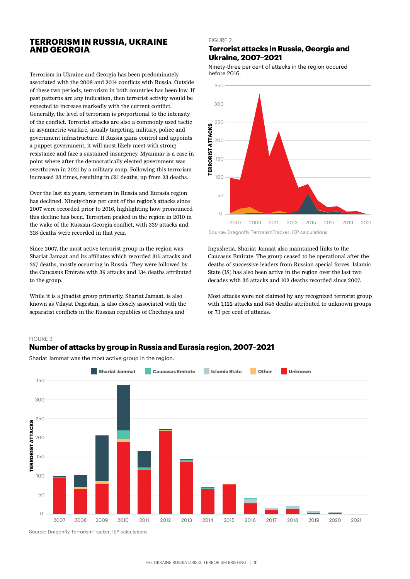# **TERRORISM IN RUSSIA, UKRAINE AND GEORGIA**

Terrorism in Ukraine and Georgia has been predominately associated with the 2008 and 2014 conflicts with Russia. Outside of these two periods, terrorism in both countries has been low. If past patterns are any indication, then terrorist activity would be expected to increase markedly with the current conflict. Generally, the level of terrorism is proportional to the intensity of the conflict. Terrorist attacks are also a commonly used tactic in asymmetric warfare, usually targeting, military, police and government infrastructure. If Russia gains control and appoints a puppet government, it will most likely meet with strong resistance and face a sustained insurgency. Myanmar is a case in point where after the democratically elected government was overthrown in 2021 by a military coup. Following this terrorism increased 23 times, resulting in 521 deaths, up from 23 deaths.

Over the last six years, terrorism in Russia and Eurasia region has declined. Ninety-three per cent of the region's attacks since 2007 were recorded prior to 2016, highlighting how pronounced this decline has been. Terrorism peaked in the region in 2010 in the wake of the Russian-Georgia conflict, with 339 attacks and 318 deaths were recorded in that year.

Since 2007, the most active terrorist group in the region was Shariat Jamaat and its affiliates which recorded 315 attacks and 257 deaths, mostly occurring in Russia. They were followed by the Caucasus Emirate with 39 attacks and 134 deaths attributed to the group.

While it is a jihadist group primarily, Shariat Jamaat, is also known as Vilayat Dagestan, is also closely associated with the separatist conflicts in the Russian republics of Chechnya and

#### FIGURE 2

#### **Terrorist attacks in Russia, Georgia and Ukraine, 2007–2021**

Ninety-three per cent of attacks in the region occured before 2016.



Ingushetia. Shariat Jamaat also maintained links to the Caucasus Emirate. The group ceased to be operational after the deaths of successive leaders from Russian special forces. Islamic State (IS) has also been active in the region over the last two decades with 36 attacks and 102 deaths recorded since 2007.

Most attacks were not claimed by any recognized terrorist group with 1,122 attacks and 846 deaths attributed to unknown groups or 73 per cent of attacks.

#### FIGURE 3



Shariat Jammat was the most active group in the region.



Source: Dragonfly TerrorismTracker, IEP calculations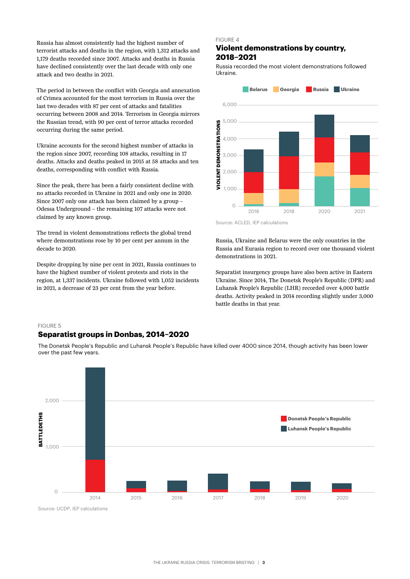Russia has almost consistently had the highest number of terrorist attacks and deaths in the region, with 1,312 attacks and 1,179 deaths recorded since 2007. Attacks and deaths in Russia have declined consistently over the last decade with only one attack and two deaths in 2021.

The period in between the conflict with Georgia and annexation of Crimea accounted for the most terrorism in Russia over the last two decades with 87 per cent of attacks and fatalities occurring between 2008 and 2014. Terrorism in Georgia mirrors the Russian trend, with 90 per cent of terror attacks recorded occurring during the same period.

Ukraine accounts for the second highest number of attacks in the region since 2007, recording 108 attacks, resulting in 17 deaths. Attacks and deaths peaked in 2015 at 58 attacks and ten deaths, corresponding with conflict with Russia.

Since the peak, there has been a fairly consistent decline with no attacks recorded in Ukraine in 2021 and only one in 2020. Since 2007 only one attack has been claimed by a group – Odessa Underground – the remaining 107 attacks were not claimed by any known group.

The trend in violent demonstrations reflects the global trend where demonstrations rose by 10 per cent per annum in the decade to 2020.

Despite dropping by nine per cent in 2021, Russia continues to have the highest number of violent protests and riots in the region, at 1,337 incidents. Ukraine followed with 1,052 incidents in 2021, a decrease of 23 per cent from the year before.

#### FIGURE 4

#### **Violent demonstrations by country, 2018–2021**

Russia recorded the most violent demonstrations followed Ukraine.



Russia, Ukraine and Belarus were the only countries in the Russia and Eurasia region to record over one thousand violent demonstrations in 2021.

Separatist insurgency groups have also been active in Eastern Ukraine. Since 2014, The Donetsk People's Republic (DPR) and Luhansk People's Republic (LHR) recorded over 4,000 battle deaths. Activity peaked in 2014 recording slightly under 3,000 battle deaths in that year.

#### FIGURE 5

### **Separatist groups in Donbas, 2014–2020**



The Donetsk People's Republic and Luhansk People's Republic have killed over 4000 since 2014, though activity has been lower over the past few years.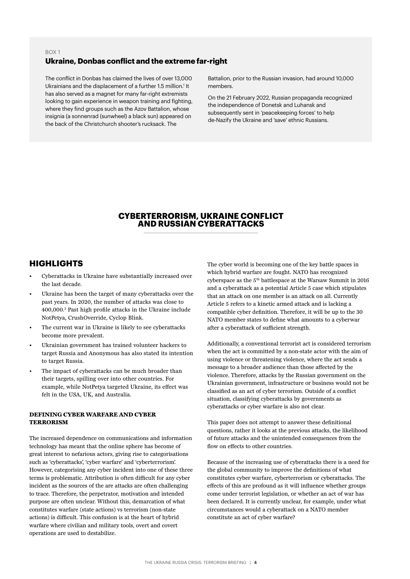#### BOX 1

# **Ukraine, Donbas conflict and the extreme far-right**

The conflict in Donbas has claimed the lives of over 13,000 Ukrainians and the displacement of a further 1.5 million.<sup>1</sup> It has also served as a magnet for many far-right extremists looking to gain experience in weapon training and fighting, where they find groups such as the Azov Battalion, whose insignia (a sonnenrad (sunwheel) a black sun) appeared on the back of the Christchurch shooter's rucksack. The

Battalion, prior to the Russian invasion, had around 10,000 members.

On the 21 February 2022, Russian propaganda recognized the independence of Donetsk and Luhansk and subsequently sent in 'peacekeeping forces' to help de-Nazify the Ukraine and 'save' ethnic Russians.

# **CYBERTERRORISM, UKRAINE CONFLICT AND RUSSIAN CYBERATTACKS**

# **HIGHLIGHTS**

- Cyberattacks in Ukraine have substantially increased over the last decade.
- Ukraine has been the target of many cyberattacks over the past years. In 2020, the number of attacks was close to 400,000.2 Past high profile attacks in the Ukraine include NotPetya, CrushOverride, Cyclop Blink.
- The current war in Ukraine is likely to see cyberattacks become more prevalent.
- Ukrainian government has trained volunteer hackers to target Russia and Anonymous has also stated its intention to target Russia.
- The impact of cyberattacks can be much broader than their targets, spilling over into other countries. For example, while NotPetya targeted Ukraine, its effect was felt in the USA, UK, and Australia.

#### **DEFINING CYBER WARFARE AND CYBER TERRORISM**

The increased dependence on communications and information technology has meant that the online sphere has become of great interest to nefarious actors, giving rise to categorisations such as 'cyberattacks', 'cyber warfare' and 'cyberterrorism'. However, categorising any cyber incident into one of these three terms is problematic. Attribution is often difficult for any cyber incident as the sources of the are attacks are often challenging to trace. Therefore, the perpetrator, motivation and intended purpose are often unclear. Without this, demarcation of what constitutes warfare (state actions) vs terrorism (non-state actions) is difficult. This confusion is at the heart of hybrid warfare where civilian and military tools, overt and covert operations are used to destabilize.

The cyber world is becoming one of the key battle spaces in which hybrid warfare are fought. NATO has recognized cyberspace as the 5th battlespace at the Warsaw Summit in 2016 and a cyberattack as a potential Article 5 case which stipulates that an attack on one member is an attack on all. Currently Article 5 refers to a kinetic armed attack and is lacking a compatible cyber definition. Therefore, it will be up to the 30 NATO member states to define what amounts to a cyberwar after a cyberattack of sufficient strength.

Additionally, a conventional terrorist act is considered terrorism when the act is committed by a non-state actor with the aim of using violence or threatening violence, where the act sends a message to a broader audience than those affected by the violence. Therefore, attacks by the Russian government on the Ukrainian government, infrastructure or business would not be classified as an act of cyber terrorism. Outside of a conflict situation, classifying cyberattacks by governments as cyberattacks or cyber warfare is also not clear.

This paper does not attempt to answer these definitional questions, rather it looks at the previous attacks, the likelihood of future attacks and the unintended consequences from the flow on effects to other countries.

Because of the increasing use of cyberattacks there is a need for the global community to improve the definitions of what constitutes cyber warfare, cyberterrorism or cyberattacks. The effects of this are profound as it will influence whether groups come under terrorist legislation, or whether an act of war has been declared. It is currently unclear, for example, under what circumstances would a cyberattack on a NATO member constitute an act of cyber warfare?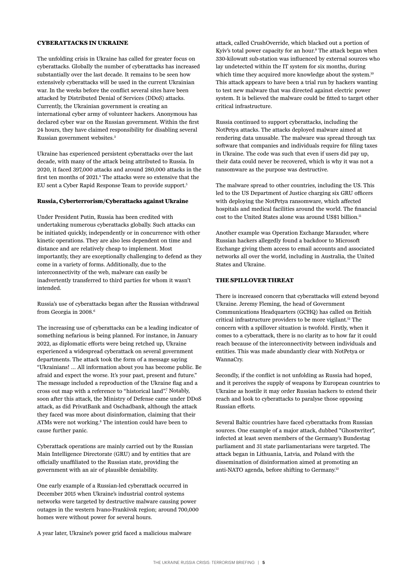#### **CYBERATTACKS IN UKRAINE**

The unfolding crisis in Ukraine has called for greater focus on cyberattacks. Globally the number of cyberattacks has increased substantially over the last decade. It remains to be seen how extensively cyberattacks will be used in the current Ukrainian war. In the weeks before the conflict several sites have been attacked by Distributed Denial of Services (DDoS) attacks. Currently, the Ukrainian government is creating an international cyber army of volunteer hackers. Anonymous has declared cyber war on the Russian government. Within the first 24 hours, they have claimed responsibility for disabling several Russian government websites.3

Ukraine has experienced persistent cyberattacks over the last decade, with many of the attack being attributed to Russia. In 2020, it faced 397,000 attacks and around 280,000 attacks in the first ten months of 2021.<sup>4</sup> The attacks were so extensive that the EU sent a Cyber Rapid Response Team to provide support.5

#### **Russia, Cyberterrorism/Cyberattacks against Ukraine**

Under President Putin, Russia has been credited with undertaking numerous cyberattacks globally. Such attacks can be initiated quickly, independently or in concurrence with other kinetic operations. They are also less dependent on time and distance and are relatively cheap to implement. Most importantly, they are exceptionally challenging to defend as they come in a variety of forms. Additionally, due to the interconnectivity of the web, malware can easily be inadvertently transferred to third parties for whom it wasn't intended.

Russia's use of cyberattacks began after the Russian withdrawal from Georgia in 2008.6

The increasing use of cyberattacks can be a leading indicator of something nefarious is being planned. For instance, in January 2022, as diplomatic efforts were being retched up, Ukraine experienced a widespread cyberattack on several government departments. The attack took the form of a message saying "Ukrainians! … All information about you has become public. Be afraid and expect the worse. It's your past, present and future." The message included a reproduction of the Ukraine flag and a cross out map with a reference to "historical land".7 Notably, soon after this attack, the Ministry of Defense came under DDoS attack, as did PrivatBank and Oschadbank, although the attack they faced was more about disinformation, claiming that their ATMs were not working.<sup>8</sup> The intention could have been to cause further panic.

Cyberattack operations are mainly carried out by the Russian Main Intelligence Directorate (GRU) and by entities that are officially unaffiliated to the Russian state, providing the government with an air of plausible deniability.

One early example of a Russian-led cyberattack occurred in December 2015 when Ukraine's industrial control systems networks were targeted by destructive malware causing power outages in the western Ivano-Frankivsk region; around 700,000 homes were without power for several hours.

attack, called CrushOverride, which blacked out a portion of Kyiv's total power capacity for an hour.<sup>9</sup> The attack began when 330-kilowatt sub-station was influenced by external sources who lay undetected within the IT system for six months, during which time they acquired more knowledge about the system.<sup>10</sup> This attack appears to have been a trial run by hackers wanting to test new malware that was directed against electric power system. It is believed the malware could be fitted to target other critical infrastructure.

Russia continued to support cyberattacks, including the NotPetya attacks. The attacks deployed malware aimed at rendering data unusable. The malware was spread through tax software that companies and individuals require for filing taxes in Ukraine. The code was such that even if users did pay up, their data could never be recovered, which is why it was not a ransomware as the purpose was destructive.

The malware spread to other countries, including the US. This led to the US Department of Justice charging six GRU officers with deploying the NotPetya ransomware, which affected hospitals and medical facilities around the world. The financial cost to the United States alone was around US\$1 billion.<sup>11</sup>

Another example was Operation Exchange Marauder, where Russian hackers allegedly found a backdoor to Microsoft Exchange giving them access to email accounts and associated networks all over the world, including in Australia, the United States and Ukraine.

#### **THE SPILLOVER THREAT**

There is increased concern that cyberattacks will extend beyond Ukraine. Jeremy Fleming, the head of Government Communications Headquarters (GCHQ) has called on British critical infrastructure providers to be more vigilant.12 The concern with a spillover situation is twofold. Firstly, when it comes to a cyberattack, there is no clarity as to how far it could reach because of the interconnectivity between individuals and entities. This was made abundantly clear with NotPetya or WannaCry.

Secondly, if the conflict is not unfolding as Russia had hoped, and it perceives the supply of weapons by European countries to Ukraine as hostile it may order Russian hackers to extend their reach and look to cyberattacks to paralyse those opposing Russian efforts.

Several Baltic countries have faced cyberattacks from Russian sources. One example of a major attack, dubbed "Ghostwriter", infected at least seven members of the Germany's Bundestag parliament and 31 state parliamentarians were targeted. The attack began in Lithuania, Latvia, and Poland with the dissemination of disinformation aimed at promoting an anti-NATO agenda, before shifting to Germany.13

A year later, Ukraine's power grid faced a malicious malware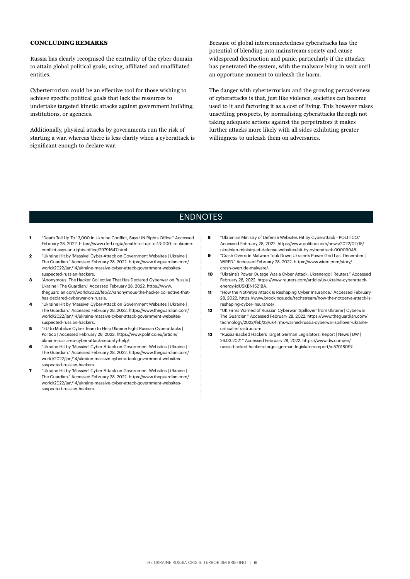#### **CONCLUDING REMARKS**

Russia has clearly recognised the centrality of the cyber domain to attain global political goals, using, affiliated and unaffiliated entities.

Cyberterrorism could be an effective tool for those wishing to achieve specific political goals that lack the resources to undertake targeted kinetic attacks against government building, institutions, or agencies.

Additionally, physical attacks by governments run the risk of starting a war, whereas there is less clarity when a cyberattack is significant enough to declare war.

Because of global interconnectedness cyberattacks has the potential of blending into mainstream society and cause widespread destruction and panic, particularly if the attacker has penetrated the system, with the malware lying in wait until an opportune moment to unleash the harm.

The danger with cyberterrorism and the growing pervasiveness of cyberattacks is that, just like violence, societies can become used to it and factoring it as a cost of living. This however raises unsettling prospects, by normalising cyberattacks through not taking adequate actions against the perpetrators it makes further attacks more likely with all sides exhibiting greater willingness to unleash them on adversaries.

# ENDNOTES

- **1** "Death Toll Up To 13,000 In Ukraine Conflict, Says UN Rights Office." Accessed February 28, 2022. https://www.rferl.org/a/death-toll-up-to-13-000-in-ukraineconflict-says-un-rights-office/29791647.html.
- **2** "Ukraine Hit by 'Massive' Cyber-Attack on Government Websites | Ukraine | The Guardian." Accessed February 28, 2022. https://www.theguardian.com/ world/2022/jan/14/ukraine-massive-cyber-attack-government-websitessuspected-russian-hackers.
- **3** "Anonymous: The Hacker Collective That Has Declared Cyberwar on Russia | Ukraine | The Guardian." Accessed February 28, 2022. https://www. theguardian.com/world/2022/feb/27/anonymous-the-hacker-collective-thathas-declared-cyberwar-on-russia.
- **4** "Ukraine Hit by 'Massive' Cyber-Attack on Government Websites | Ukraine | The Guardian." Accessed February 28, 2022. https://www.theguardian.com/ world/2022/jan/14/ukraine-massive-cyber-attack-government-websitessuspected-russian-hackers.
- **5** "EU to Mobilize Cyber Team to Help Ukraine Fight Russian Cyberattacks | Politico | Accessed February 28, 2022. https://www.politico.eu/article/ ukraine-russia-eu-cyber-attack-security-help/.
- **6** "Ukraine Hit by 'Massive' Cyber-Attack on Government Websites | Ukraine | The Guardian." Accessed February 28, 2022. https://www.theguardian.com/ world/2022/jan/14/ukraine-massive-cyber-attack-government-websitessuspected-russian-hackers.
- **7** "Ukraine Hit by 'Massive' Cyber-Attack on Government Websites | Ukraine | The Guardian." Accessed February 28, 2022. https://www.theguardian.com/ world/2022/jan/14/ukraine-massive-cyber-attack-government-websitessuspected-russian-hackers.
- **8** "Ukrainian Ministry of Defense Websites Hit by Cyberattack POLITICO." Accessed February 28, 2022. https://www.politico.com/news/2022/02/15/ ukrainian-ministry-of-defense-websites-hit-by-cyberattack-00009046.
- **9** "Crash Override Malware Took Down Ukraine's Power Grid Last December | WIRED." Accessed February 28, 2022. https://www.wired.com/story/ crash-override-malware/.
- **10** "Ukraine's Power Outage Was a Cyber Attack: Ukrenergo | Reuters." Accessed February 28, 2022. https://www.reuters.com/article/us-ukraine-cyberattackenergy-idUSKBN1521BA.
- **11** "How the NotPetya Attack Is Reshaping Cyber Insurance." Accessed February 28, 2022. https://www.brookings.edu/techstream/how-the-notpetya-attack-isreshaping-cyber-insurance/.
- **12** "UK Firms Warned of Russian Cyberwar 'Spillover' from Ukraine | Cyberwar | The Guardian." Accessed February 28, 2022. https://www.theguardian.com/ technology/2022/feb/23/uk-firms-warned-russia-cyberwar-spillover-ukrainecritical-infrastructure.
- **13** "Russia-Backed Hackers Target German Legislators: Report | News | DW | 26.03.2021." Accessed February 28, 2022. https://www.dw.com/en/ russia-backed-hackers-target-german-legislators-report/a-57018097.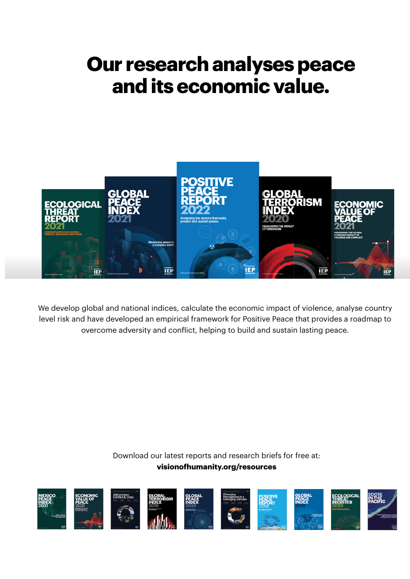# **Our research analyses peace and its economic value.**



We develop global and national indices, calculate the economic impact of violence, analyse country level risk and have developed an empirical framework for Positive Peace that provides a roadmap to overcome adversity and conflict, helping to build and sustain lasting peace.

> Download our latest reports and research briefs for free at: **visionofhumanity.org/resources**